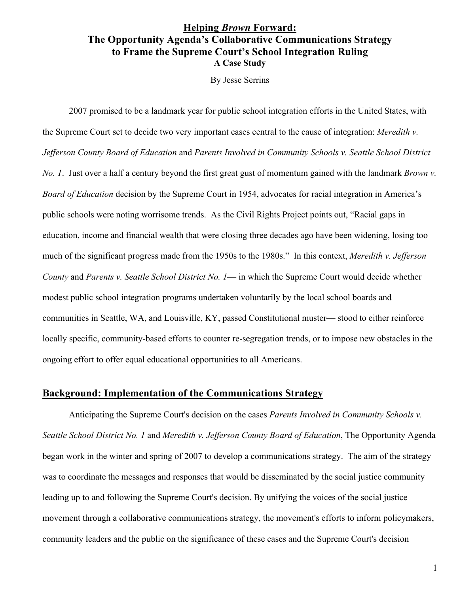# **Helping** *Brown* **Forward: The Opportunity Agenda's Collaborative Communications Strategy to Frame the Supreme Court's School Integration Ruling A Case Study**

By Jesse Serrins

2007 promised to be a landmark year for public school integration efforts in the United States, with the Supreme Court set to decide two very important cases central to the cause of integration: *Meredith v. Jefferson County Board of Education* and *Parents Involved in Community Schools v. Seattle School District No. 1*. Just over a half a century beyond the first great gust of momentum gained with the landmark *Brown v. Board of Education* decision by the Supreme Court in 1954, advocates for racial integration in America's public schools were noting worrisome trends. As the Civil Rights Project points out, "Racial gaps in education, income and financial wealth that were closing three decades ago have been widening, losing too much of the significant progress made from the 1950s to the 1980s." In this context, *Meredith v. Jefferson County* and *Parents v. Seattle School District No. 1*— in which the Supreme Court would decide whether modest public school integration programs undertaken voluntarily by the local school boards and communities in Seattle, WA, and Louisville, KY, passed Constitutional muster— stood to either reinforce locally specific, community-based efforts to counter re-segregation trends, or to impose new obstacles in the ongoing effort to offer equal educational opportunities to all Americans.

## **Background: Implementation of the Communications Strategy**

Anticipating the Supreme Court's decision on the cases *Parents Involved in Community Schools v. Seattle School District No. 1* and *Meredith v. Jefferson County Board of Education*, The Opportunity Agenda began work in the winter and spring of 2007 to develop a communications strategy. The aim of the strategy was to coordinate the messages and responses that would be disseminated by the social justice community leading up to and following the Supreme Court's decision. By unifying the voices of the social justice movement through a collaborative communications strategy, the movement's efforts to inform policymakers, community leaders and the public on the significance of these cases and the Supreme Court's decision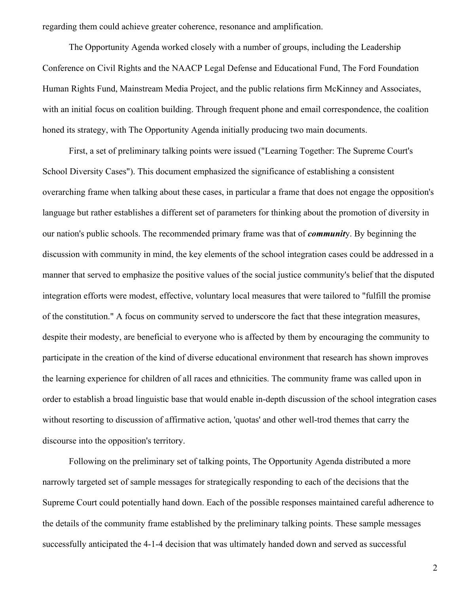regarding them could achieve greater coherence, resonance and amplification.

The Opportunity Agenda worked closely with a number of groups, including the Leadership Conference on Civil Rights and the NAACP Legal Defense and Educational Fund, The Ford Foundation Human Rights Fund, Mainstream Media Project, and the public relations firm McKinney and Associates, with an initial focus on coalition building. Through frequent phone and email correspondence, the coalition honed its strategy, with The Opportunity Agenda initially producing two main documents.

First, a set of preliminary talking points were issued ("Learning Together: The Supreme Court's School Diversity Cases"). This document emphasized the significance of establishing a consistent overarching frame when talking about these cases, in particular a frame that does not engage the opposition's language but rather establishes a different set of parameters for thinking about the promotion of diversity in our nation's public schools. The recommended primary frame was that of *communit*y. By beginning the discussion with community in mind, the key elements of the school integration cases could be addressed in a manner that served to emphasize the positive values of the social justice community's belief that the disputed integration efforts were modest, effective, voluntary local measures that were tailored to "fulfill the promise of the constitution." A focus on community served to underscore the fact that these integration measures, despite their modesty, are beneficial to everyone who is affected by them by encouraging the community to participate in the creation of the kind of diverse educational environment that research has shown improves the learning experience for children of all races and ethnicities. The community frame was called upon in order to establish a broad linguistic base that would enable in-depth discussion of the school integration cases without resorting to discussion of affirmative action, 'quotas' and other well-trod themes that carry the discourse into the opposition's territory.

Following on the preliminary set of talking points, The Opportunity Agenda distributed a more narrowly targeted set of sample messages for strategically responding to each of the decisions that the Supreme Court could potentially hand down. Each of the possible responses maintained careful adherence to the details of the community frame established by the preliminary talking points. These sample messages successfully anticipated the 4-1-4 decision that was ultimately handed down and served as successful

2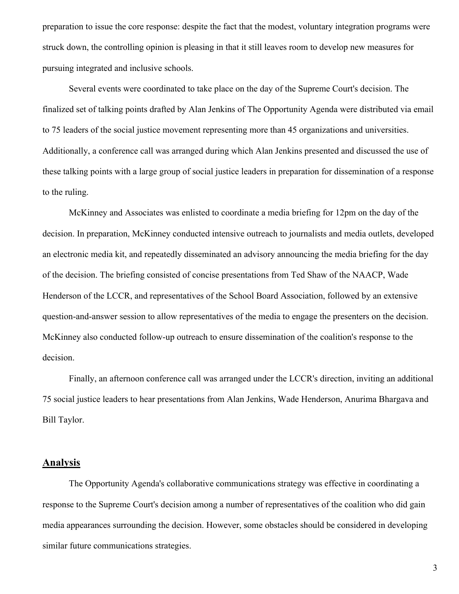preparation to issue the core response: despite the fact that the modest, voluntary integration programs were struck down, the controlling opinion is pleasing in that it still leaves room to develop new measures for pursuing integrated and inclusive schools.

Several events were coordinated to take place on the day of the Supreme Court's decision. The finalized set of talking points drafted by Alan Jenkins of The Opportunity Agenda were distributed via email to 75 leaders of the social justice movement representing more than 45 organizations and universities. Additionally, a conference call was arranged during which Alan Jenkins presented and discussed the use of these talking points with a large group of social justice leaders in preparation for dissemination of a response to the ruling.

McKinney and Associates was enlisted to coordinate a media briefing for 12pm on the day of the decision. In preparation, McKinney conducted intensive outreach to journalists and media outlets, developed an electronic media kit, and repeatedly disseminated an advisory announcing the media briefing for the day of the decision. The briefing consisted of concise presentations from Ted Shaw of the NAACP, Wade Henderson of the LCCR, and representatives of the School Board Association, followed by an extensive question-and-answer session to allow representatives of the media to engage the presenters on the decision. McKinney also conducted follow-up outreach to ensure dissemination of the coalition's response to the decision.

Finally, an afternoon conference call was arranged under the LCCR's direction, inviting an additional 75 social justice leaders to hear presentations from Alan Jenkins, Wade Henderson, Anurima Bhargava and Bill Taylor.

## **Analysis**

The Opportunity Agenda's collaborative communications strategy was effective in coordinating a response to the Supreme Court's decision among a number of representatives of the coalition who did gain media appearances surrounding the decision. However, some obstacles should be considered in developing similar future communications strategies.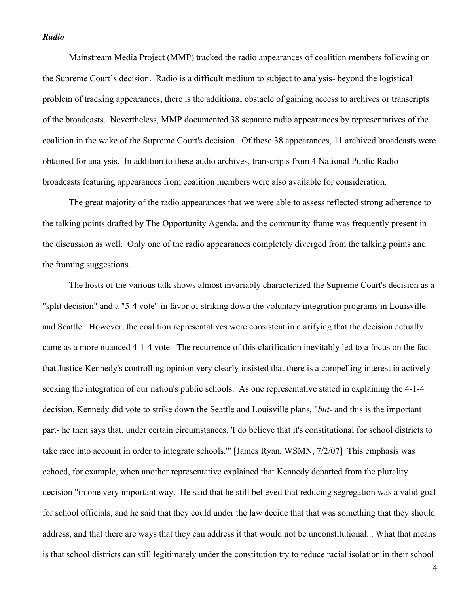### *Radio*

Mainstream Media Project (MMP) tracked the radio appearances of coalition members following on the Supreme Court's decision. Radio is a difficult medium to subject to analysis- beyond the logistical problem of tracking appearances, there is the additional obstacle of gaining access to archives or transcripts of the broadcasts. Nevertheless, MMP documented 38 separate radio appearances by representatives of the coalition in the wake of the Supreme Court's decision. Of these 38 appearances, 11 archived broadcasts were obtained for analysis. In addition to these audio archives, transcripts from 4 National Public Radio broadcasts featuring appearances from coalition members were also available for consideration.

The great majority of the radio appearances that we were able to assess reflected strong adherence to the talking points drafted by The Opportunity Agenda, and the community frame was frequently present in the discussion as well. Only one of the radio appearances completely diverged from the talking points and the framing suggestions.

The hosts of the various talk shows almost invariably characterized the Supreme Court's decision as a "split decision" and a "5-4 vote" in favor of striking down the voluntary integration programs in Louisville and Seattle. However, the coalition representatives were consistent in clarifying that the decision actually came as a more nuanced 4-1-4 vote. The recurrence of this clarification inevitably led to a focus on the fact that Justice Kennedy's controlling opinion very clearly insisted that there is a compelling interest in actively seeking the integration of our nation's public schools. As one representative stated in explaining the 4-1-4 decision, Kennedy did vote to strike down the Seattle and Louisville plans, "*but*- and this is the important part- he then says that, under certain circumstances, 'I do believe that it's constitutional for school districts to take race into account in order to integrate schools.'" [James Ryan, WSMN, 7/2/07] This emphasis was echoed, for example, when another representative explained that Kennedy departed from the plurality decision "in one very important way. He said that he still believed that reducing segregation was a valid goal for school officials, and he said that they could under the law decide that that was something that they should address, and that there are ways that they can address it that would not be unconstitutional... What that means is that school districts can still legitimately under the constitution try to reduce racial isolation in their school

4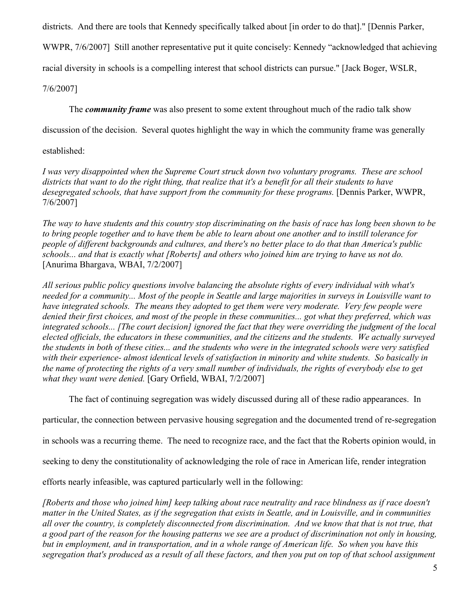districts. And there are tools that Kennedy specifically talked about [in order to do that]." [Dennis Parker,

WWPR, 7/6/2007] Still another representative put it quite concisely: Kennedy "acknowledged that achieving

racial diversity in schools is a compelling interest that school districts can pursue." [Jack Boger, WSLR,

7/6/2007]

The *community frame* was also present to some extent throughout much of the radio talk show

discussion of the decision. Several quotes highlight the way in which the community frame was generally

## established:

*I was very disappointed when the Supreme Court struck down two voluntary programs. These are school districts that want to do the right thing, that realize that it's a benefit for all their students to have desegregated schools, that have support from the community for these programs.* [Dennis Parker, WWPR, 7/6/2007]

*The way to have students and this country stop discriminating on the basis of race has long been shown to be to bring people together and to have them be able to learn about one another and to instill tolerance for people of different backgrounds and cultures, and there's no better place to do that than America's public schools... and that is exactly what [Roberts] and others who joined him are trying to have us not do.* [Anurima Bhargava, WBAI, 7/2/2007]

*All serious public policy questions involve balancing the absolute rights of every individual with what's needed for a community... Most of the people in Seattle and large majorities in surveys in Louisville want to have integrated schools. The means they adopted to get them were very moderate. Very few people were denied their first choices, and most of the people in these communities... got what they preferred, which was integrated schools... [The court decision] ignored the fact that they were overriding the judgment of the local elected officials, the educators in these communities, and the citizens and the students. We actually surveyed the students in both of these cities... and the students who were in the integrated schools were very satisfied with their experience- almost identical levels of satisfaction in minority and white students. So basically in the name of protecting the rights of a very small number of individuals, the rights of everybody else to get what they want were denied.* [Gary Orfield, WBAI, 7/2/2007]

The fact of continuing segregation was widely discussed during all of these radio appearances. In

particular, the connection between pervasive housing segregation and the documented trend of re-segregation

in schools was a recurring theme. The need to recognize race, and the fact that the Roberts opinion would, in

seeking to deny the constitutionality of acknowledging the role of race in American life, render integration

efforts nearly infeasible, was captured particularly well in the following:

*[Roberts and those who joined him] keep talking about race neutrality and race blindness as if race doesn't matter in the United States, as if the segregation that exists in Seattle, and in Louisville, and in communities all over the country, is completely disconnected from discrimination. And we know that that is not true, that a good part of the reason for the housing patterns we see are a product of discrimination not only in housing, but in employment, and in transportation, and in a whole range of American life. So when you have this segregation that's produced as a result of all these factors, and then you put on top of that school assignment*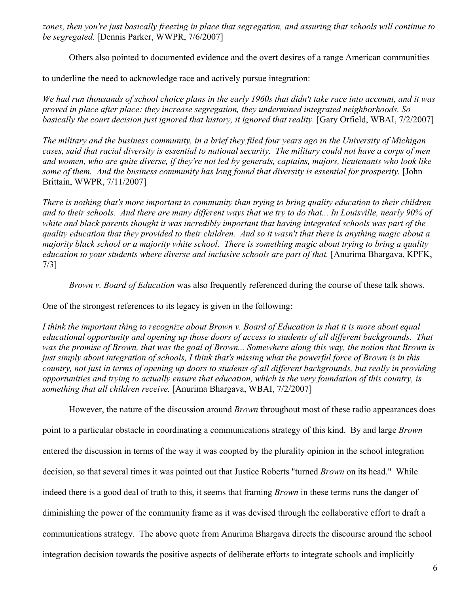*zones, then you're just basically freezing in place that segregation, and assuring that schools will continue to be segregated.* [Dennis Parker, WWPR, 7/6/2007]

Others also pointed to documented evidence and the overt desires of a range American communities

to underline the need to acknowledge race and actively pursue integration:

*We had run thousands of school choice plans in the early 1960s that didn't take race into account, and it was proved in place after place: they increase segregation, they undermined integrated neighborhoods. So basically the court decision just ignored that history, it ignored that reality.* [Gary Orfield, WBAI, 7/2/2007]

*The military and the business community, in a brief they filed four years ago in the University of Michigan cases, said that racial diversity is essential to national security. The military could not have a corps of men and women, who are quite diverse, if they're not led by generals, captains, majors, lieutenants who look like some of them. And the business community has long found that diversity is essential for prosperity.* [John Brittain, WWPR, 7/11/2007]

*There is nothing that's more important to community than trying to bring quality education to their children and to their schools. And there are many different ways that we try to do that... In Louisville, nearly 90% of white and black parents thought it was incredibly important that having integrated schools was part of the quality education that they provided to their children. And so it wasn't that there is anything magic about a majority black school or a majority white school. There is something magic about trying to bring a quality education to your students where diverse and inclusive schools are part of that.* [Anurima Bhargava, KPFK, 7/3]

*Brown v. Board of Education* was also frequently referenced during the course of these talk shows.

One of the strongest references to its legacy is given in the following:

*I think the important thing to recognize about Brown v. Board of Education is that it is more about equal educational opportunity and opening up those doors of access to students of all different backgrounds. That was the promise of Brown, that was the goal of Brown... Somewhere along this way, the notion that Brown is just simply about integration of schools, I think that's missing what the powerful force of Brown is in this country, not just in terms of opening up doors to students of all different backgrounds, but really in providing opportunities and trying to actually ensure that education, which is the very foundation of this country, is something that all children receive.* [Anurima Bhargava, WBAI, 7/2/2007]

However, the nature of the discussion around *Brown* throughout most of these radio appearances does point to a particular obstacle in coordinating a communications strategy of this kind. By and large *Brown* entered the discussion in terms of the way it was coopted by the plurality opinion in the school integration decision, so that several times it was pointed out that Justice Roberts "turned *Brown* on its head." While indeed there is a good deal of truth to this, it seems that framing *Brown* in these terms runs the danger of diminishing the power of the community frame as it was devised through the collaborative effort to draft a communications strategy. The above quote from Anurima Bhargava directs the discourse around the school integration decision towards the positive aspects of deliberate efforts to integrate schools and implicitly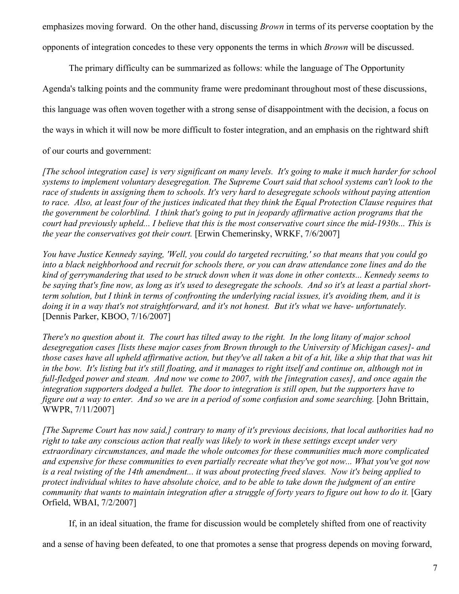emphasizes moving forward. On the other hand, discussing *Brown* in terms of its perverse cooptation by the opponents of integration concedes to these very opponents the terms in which *Brown* will be discussed.

The primary difficulty can be summarized as follows: while the language of The Opportunity Agenda's talking points and the community frame were predominant throughout most of these discussions, this language was often woven together with a strong sense of disappointment with the decision, a focus on the ways in which it will now be more difficult to foster integration, and an emphasis on the rightward shift

of our courts and government:

*[The school integration case] is very significant on many levels. It's going to make it much harder for school systems to implement voluntary desegregation. The Supreme Court said that school systems can't look to the race of students in assigning them to schools. It's very hard to desegregate schools without paying attention to race. Also, at least four of the justices indicated that they think the Equal Protection Clause requires that the government be colorblind. I think that's going to put in jeopardy affirmative action programs that the court had previously upheld... I believe that this is the most conservative court since the mid-1930s... This is the year the conservatives got their court.* [Erwin Chemerinsky, WRKF, 7/6/2007]

*You have Justice Kennedy saying, 'Well, you could do targeted recruiting,' so that means that you could go into a black neighborhood and recruit for schools there, or you can draw attendance zone lines and do the kind of gerrymandering that used to be struck down when it was done in other contexts... Kennedy seems to be saying that's fine now, as long as it's used to desegregate the schools. And so it's at least a partial shortterm solution, but I think in terms of confronting the underlying racial issues, it's avoiding them, and it is doing it in a way that's not straightforward, and it's not honest. But it's what we have- unfortunately.* [Dennis Parker, KBOO, 7/16/2007]

*There's no question about it. The court has tilted away to the right. In the long litany of major school desegregation cases [lists these major cases from Brown through to the University of Michigan cases]- and those cases have all upheld affirmative action, but they've all taken a bit of a hit, like a ship that that was hit in the bow. It's listing but it's still floating, and it manages to right itself and continue on, although not in full-fledged power and steam. And now we come to 2007, with the [integration cases], and once again the integration supporters dodged a bullet. The door to integration is still open, but the supporters have to figure out a way to enter. And so we are in a period of some confusion and some searching.* [John Brittain, WWPR, 7/11/2007]

*[The Supreme Court has now said,] contrary to many of it's previous decisions, that local authorities had no right to take any conscious action that really was likely to work in these settings except under very extraordinary circumstances, and made the whole outcomes for these communities much more complicated and expensive for these communities to even partially recreate what they've got now... What you've got now is a real twisting of the 14th amendment... it was about protecting freed slaves. Now it's being applied to protect individual whites to have absolute choice, and to be able to take down the judgment of an entire community that wants to maintain integration after a struggle of forty years to figure out how to do it.* [Gary Orfield, WBAI, 7/2/2007]

If, in an ideal situation, the frame for discussion would be completely shifted from one of reactivity

and a sense of having been defeated, to one that promotes a sense that progress depends on moving forward,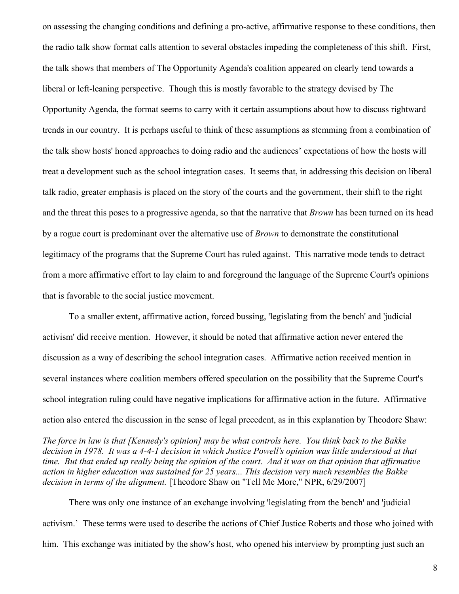on assessing the changing conditions and defining a pro-active, affirmative response to these conditions, then the radio talk show format calls attention to several obstacles impeding the completeness of this shift. First, the talk shows that members of The Opportunity Agenda's coalition appeared on clearly tend towards a liberal or left-leaning perspective. Though this is mostly favorable to the strategy devised by The Opportunity Agenda, the format seems to carry with it certain assumptions about how to discuss rightward trends in our country. It is perhaps useful to think of these assumptions as stemming from a combination of the talk show hosts' honed approaches to doing radio and the audiences' expectations of how the hosts will treat a development such as the school integration cases. It seems that, in addressing this decision on liberal talk radio, greater emphasis is placed on the story of the courts and the government, their shift to the right and the threat this poses to a progressive agenda, so that the narrative that *Brown* has been turned on its head by a rogue court is predominant over the alternative use of *Brown* to demonstrate the constitutional legitimacy of the programs that the Supreme Court has ruled against. This narrative mode tends to detract from a more affirmative effort to lay claim to and foreground the language of the Supreme Court's opinions that is favorable to the social justice movement.

To a smaller extent, affirmative action, forced bussing, 'legislating from the bench' and 'judicial activism' did receive mention. However, it should be noted that affirmative action never entered the discussion as a way of describing the school integration cases. Affirmative action received mention in several instances where coalition members offered speculation on the possibility that the Supreme Court's school integration ruling could have negative implications for affirmative action in the future. Affirmative action also entered the discussion in the sense of legal precedent, as in this explanation by Theodore Shaw:

*The force in law is that [Kennedy's opinion] may be what controls here. You think back to the Bakke decision in 1978. It was a 4-4-1 decision in which Justice Powell's opinion was little understood at that time. But that ended up really being the opinion of the court. And it was on that opinion that affirmative action in higher education was sustained for 25 years... This decision very much resembles the Bakke decision in terms of the alignment.* [Theodore Shaw on "Tell Me More," NPR, 6/29/2007]

There was only one instance of an exchange involving 'legislating from the bench' and 'judicial activism.' These terms were used to describe the actions of Chief Justice Roberts and those who joined with him. This exchange was initiated by the show's host, who opened his interview by prompting just such an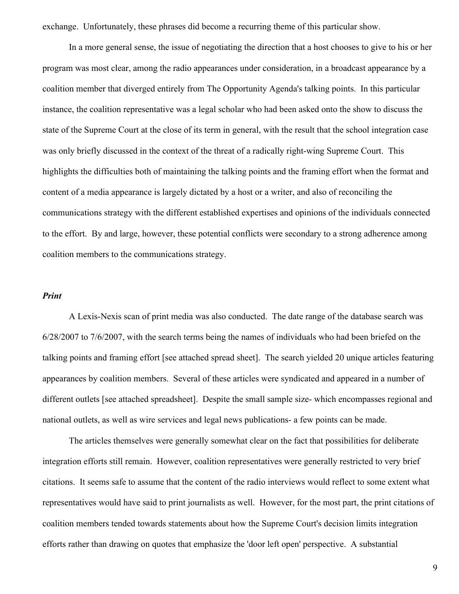exchange. Unfortunately, these phrases did become a recurring theme of this particular show.

In a more general sense, the issue of negotiating the direction that a host chooses to give to his or her program was most clear, among the radio appearances under consideration, in a broadcast appearance by a coalition member that diverged entirely from The Opportunity Agenda's talking points. In this particular instance, the coalition representative was a legal scholar who had been asked onto the show to discuss the state of the Supreme Court at the close of its term in general, with the result that the school integration case was only briefly discussed in the context of the threat of a radically right-wing Supreme Court. This highlights the difficulties both of maintaining the talking points and the framing effort when the format and content of a media appearance is largely dictated by a host or a writer, and also of reconciling the communications strategy with the different established expertises and opinions of the individuals connected to the effort. By and large, however, these potential conflicts were secondary to a strong adherence among coalition members to the communications strategy.

#### *Print*

A Lexis-Nexis scan of print media was also conducted. The date range of the database search was 6/28/2007 to 7/6/2007, with the search terms being the names of individuals who had been briefed on the talking points and framing effort [see attached spread sheet]. The search yielded 20 unique articles featuring appearances by coalition members. Several of these articles were syndicated and appeared in a number of different outlets [see attached spreadsheet]. Despite the small sample size- which encompasses regional and national outlets, as well as wire services and legal news publications- a few points can be made.

The articles themselves were generally somewhat clear on the fact that possibilities for deliberate integration efforts still remain. However, coalition representatives were generally restricted to very brief citations. It seems safe to assume that the content of the radio interviews would reflect to some extent what representatives would have said to print journalists as well. However, for the most part, the print citations of coalition members tended towards statements about how the Supreme Court's decision limits integration efforts rather than drawing on quotes that emphasize the 'door left open' perspective. A substantial

9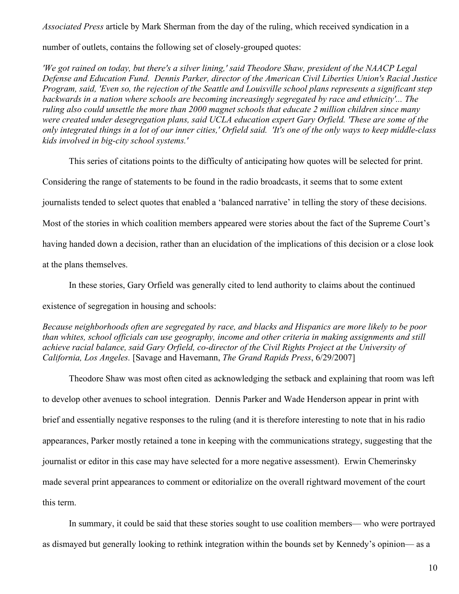*Associated Press* article by Mark Sherman from the day of the ruling, which received syndication in a

number of outlets, contains the following set of closely-grouped quotes:

*'We got rained on today, but there's a silver lining,' said Theodore Shaw, president of the NAACP Legal Defense and Education Fund. Dennis Parker, director of the American Civil Liberties Union's Racial Justice Program, said, 'Even so, the rejection of the Seattle and Louisville school plans represents a significant step backwards in a nation where schools are becoming increasingly segregated by race and ethnicity'... The ruling also could unsettle the more than 2000 magnet schools that educate 2 million children since many were created under desegregation plans, said UCLA education expert Gary Orfield. 'These are some of the only integrated things in a lot of our inner cities,' Orfield said. 'It's one of the only ways to keep middle-class kids involved in big-city school systems.'*

This series of citations points to the difficulty of anticipating how quotes will be selected for print.

Considering the range of statements to be found in the radio broadcasts, it seems that to some extent

journalists tended to select quotes that enabled a 'balanced narrative' in telling the story of these decisions.

Most of the stories in which coalition members appeared were stories about the fact of the Supreme Court's

having handed down a decision, rather than an elucidation of the implications of this decision or a close look

at the plans themselves.

In these stories, Gary Orfield was generally cited to lend authority to claims about the continued

existence of segregation in housing and schools:

*Because neighborhoods often are segregated by race, and blacks and Hispanics are more likely to be poor than whites, school officials can use geography, income and other criteria in making assignments and still achieve racial balance, said Gary Orfield, co-director of the Civil Rights Project at the University of California, Los Angeles.* [Savage and Havemann, *The Grand Rapids Press*, 6/29/2007]

Theodore Shaw was most often cited as acknowledging the setback and explaining that room was left to develop other avenues to school integration. Dennis Parker and Wade Henderson appear in print with brief and essentially negative responses to the ruling (and it is therefore interesting to note that in his radio appearances, Parker mostly retained a tone in keeping with the communications strategy, suggesting that the journalist or editor in this case may have selected for a more negative assessment). Erwin Chemerinsky made several print appearances to comment or editorialize on the overall rightward movement of the court this term.

In summary, it could be said that these stories sought to use coalition members— who were portrayed as dismayed but generally looking to rethink integration within the bounds set by Kennedy's opinion— as a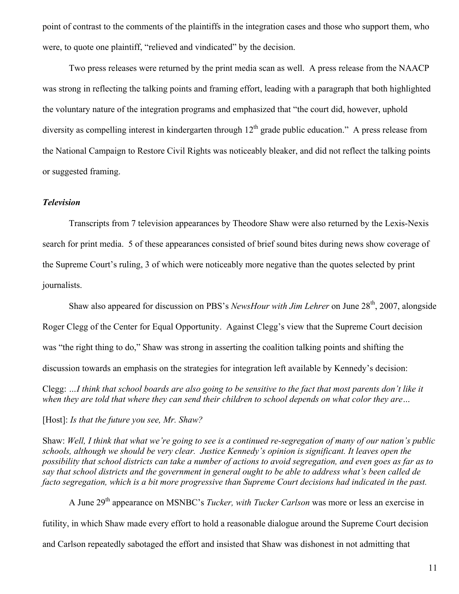point of contrast to the comments of the plaintiffs in the integration cases and those who support them, who were, to quote one plaintiff, "relieved and vindicated" by the decision.

Two press releases were returned by the print media scan as well. A press release from the NAACP was strong in reflecting the talking points and framing effort, leading with a paragraph that both highlighted the voluntary nature of the integration programs and emphasized that "the court did, however, uphold diversity as compelling interest in kindergarten through  $12<sup>th</sup>$  grade public education." A press release from the National Campaign to Restore Civil Rights was noticeably bleaker, and did not reflect the talking points or suggested framing.

## *Television*

Transcripts from 7 television appearances by Theodore Shaw were also returned by the Lexis-Nexis search for print media. 5 of these appearances consisted of brief sound bites during news show coverage of the Supreme Court's ruling, 3 of which were noticeably more negative than the quotes selected by print journalists.

Shaw also appeared for discussion on PBS's *NewsHour with Jim Lehrer* on June 28<sup>th</sup>, 2007, alongside Roger Clegg of the Center for Equal Opportunity. Against Clegg's view that the Supreme Court decision was "the right thing to do," Shaw was strong in asserting the coalition talking points and shifting the discussion towards an emphasis on the strategies for integration left available by Kennedy's decision:

Clegg: *…I think that school boards are also going to be sensitive to the fact that most parents don't like it when they are told that where they can send their children to school depends on what color they are…*

[Host]: *Is that the future you see, Mr. Shaw?*

Shaw: *Well, I think that what we're going to see is a continued re-segregation of many of our nation's public schools, although we should be very clear. Justice Kennedy's opinion is significant. It leaves open the possibility that school districts can take a number of actions to avoid segregation, and even goes as far as to say that school districts and the government in general ought to be able to address what's been called de facto segregation, which is a bit more progressive than Supreme Court decisions had indicated in the past.*

A June 29<sup>th</sup> appearance on MSNBC's *Tucker, with Tucker Carlson* was more or less an exercise in futility, in which Shaw made every effort to hold a reasonable dialogue around the Supreme Court decision and Carlson repeatedly sabotaged the effort and insisted that Shaw was dishonest in not admitting that